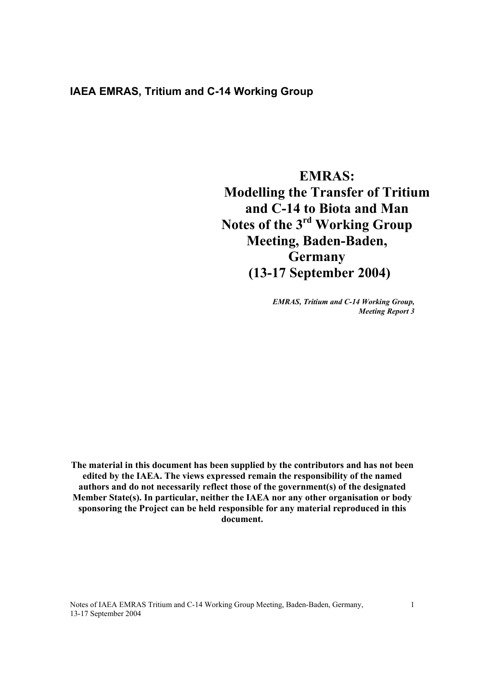## **IAEA EMRAS, Tritium and C-14 Working Group**

# **EMRAS: Modelling the Transfer of Tritium and C-14 to Biota and Man Notes of the 3rd Working Group Meeting, Baden-Baden, Germany (13-17 September 2004)**

*EMRAS, Tritium and C-14 Working Group, Meeting Report 3* 

**The material in this document has been supplied by the contributors and has not been edited by the IAEA. The views expressed remain the responsibility of the named authors and do not necessarily reflect those of the government(s) of the designated Member State(s). In particular, neither the IAEA nor any other organisation or body sponsoring the Project can be held responsible for any material reproduced in this document.** 

Notes of IAEA EMRAS Tritium and C-14 Working Group Meeting, Baden-Baden, Germany, 13-17 September 2004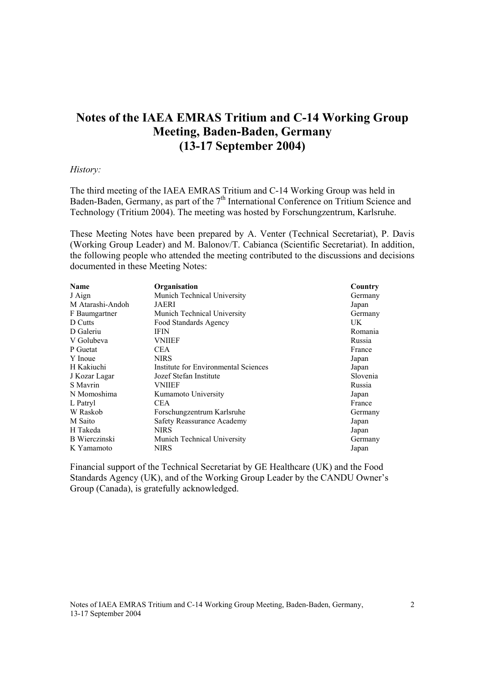## **Notes of the IAEA EMRAS Tritium and C-14 Working Group Meeting, Baden-Baden, Germany (13-17 September 2004)**

#### *History:*

The third meeting of the IAEA EMRAS Tritium and C-14 Working Group was held in Baden-Baden, Germany, as part of the 7<sup>th</sup> International Conference on Tritium Science and Technology (Tritium 2004). The meeting was hosted by Forschungzentrum, Karlsruhe.

These Meeting Notes have been prepared by A. Venter (Technical Secretariat), P. Davis (Working Group Leader) and M. Balonov/T. Cabianca (Scientific Secretariat). In addition, the following people who attended the meeting contributed to the discussions and decisions documented in these Meeting Notes:

| <b>Name</b>      | Organisation                         | Country  |
|------------------|--------------------------------------|----------|
| J Aign           | Munich Technical University          | Germany  |
| M Atarashi-Andoh | <b>JAERI</b>                         | Japan    |
| F Baumgartner    | Munich Technical University          | Germany  |
| D Cutts          | Food Standards Agency                | UK       |
| D Galeriu        | IFIN                                 | Romania  |
| V Golubeva       | <b>VNIIEF</b>                        | Russia   |
| P Guetat         | CEA.                                 | France   |
| Y Inoue          | <b>NIRS</b>                          | Japan    |
| H Kakiuchi       | Institute for Environmental Sciences | Japan    |
| J Kozar Lagar    | Jozef Stefan Institute               | Slovenia |
| S Mayrin         | VNIIEF                               | Russia   |
| N Momoshima      | Kumamoto University                  | Japan    |
| L Patryl         | <b>CEA</b>                           | France   |
| W Raskob         | Forschungzentrum Karlsruhe           | Germany  |
| M Saito          | Safety Reassurance Academy           | Japan    |
| H Takeda         | <b>NIRS</b>                          | Japan    |
| B Wierczinski    | Munich Technical University          | Germany  |
| K Yamamoto       | <b>NIRS</b>                          | Japan    |

Financial support of the Technical Secretariat by GE Healthcare (UK) and the Food Standards Agency (UK), and of the Working Group Leader by the CANDU Owner's Group (Canada), is gratefully acknowledged.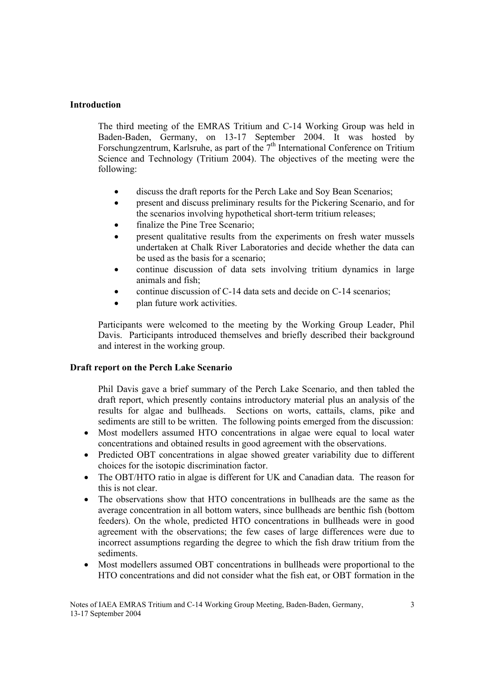## **Introduction**

The third meeting of the EMRAS Tritium and C-14 Working Group was held in Baden-Baden, Germany, on 13-17 September 2004. It was hosted by Forschungzentrum, Karlsruhe, as part of the 7<sup>th</sup> International Conference on Tritium Science and Technology (Tritium 2004). The objectives of the meeting were the following:

- discuss the draft reports for the Perch Lake and Soy Bean Scenarios;
- present and discuss preliminary results for the Pickering Scenario, and for the scenarios involving hypothetical short-term tritium releases;
- finalize the Pine Tree Scenario:
- present qualitative results from the experiments on fresh water mussels undertaken at Chalk River Laboratories and decide whether the data can be used as the basis for a scenario;
- continue discussion of data sets involving tritium dynamics in large animals and fish;
- continue discussion of C-14 data sets and decide on C-14 scenarios;
- plan future work activities.

Participants were welcomed to the meeting by the Working Group Leader, Phil Davis. Participants introduced themselves and briefly described their background and interest in the working group.

## **Draft report on the Perch Lake Scenario**

Phil Davis gave a brief summary of the Perch Lake Scenario, and then tabled the draft report, which presently contains introductory material plus an analysis of the results for algae and bullheads. Sections on worts, cattails, clams, pike and sediments are still to be written. The following points emerged from the discussion:

- Most modellers assumed HTO concentrations in algae were equal to local water concentrations and obtained results in good agreement with the observations.
- Predicted OBT concentrations in algae showed greater variability due to different choices for the isotopic discrimination factor.
- The OBT/HTO ratio in algae is different for UK and Canadian data. The reason for this is not clear.
- The observations show that HTO concentrations in bullheads are the same as the average concentration in all bottom waters, since bullheads are benthic fish (bottom feeders). On the whole, predicted HTO concentrations in bullheads were in good agreement with the observations; the few cases of large differences were due to incorrect assumptions regarding the degree to which the fish draw tritium from the sediments.
- Most modellers assumed OBT concentrations in bullheads were proportional to the HTO concentrations and did not consider what the fish eat, or OBT formation in the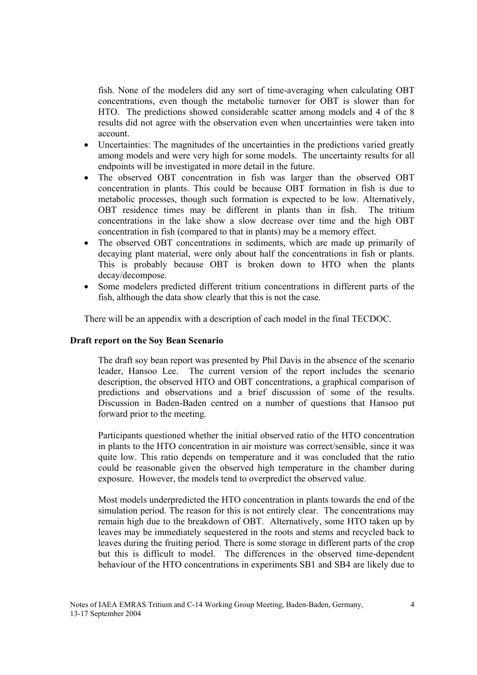fish. None of the modelers did any sort of time-averaging when calculating OBT concentrations, even though the metabolic turnover for OBT is slower than for HTO. The predictions showed considerable scatter among models and 4 of the 8 results did not agree with the observation even when uncertainties were taken into account.

- Uncertainties: The magnitudes of the uncertainties in the predictions varied greatly among models and were very high for some models. The uncertainty results for all endpoints will be investigated in more detail in the future.
- The observed OBT concentration in fish was larger than the observed OBT concentration in plants. This could be because OBT formation in fish is due to metabolic processes, though such formation is expected to be low. Alternatively, OBT residence times may be different in plants than in fish. The tritium concentrations in the lake show a slow decrease over time and the high OBT concentration in fish (compared to that in plants) may be a memory effect.
- The observed OBT concentrations in sediments, which are made up primarily of decaying plant material, were only about half the concentrations in fish or plants. This is probably because OBT is broken down to HTO when the plants decay/decompose.
- Some modelers predicted different tritium concentrations in different parts of the fish, although the data show clearly that this is not the case.

There will be an appendix with a description of each model in the final TECDOC.

#### **Draft report on the Soy Bean Scenario**

The draft soy bean report was presented by Phil Davis in the absence of the scenario leader, Hansoo Lee. The current version of the report includes the scenario description, the observed HTO and OBT concentrations, a graphical comparison of predictions and observations and a brief discussion of some of the results. Discussion in Baden-Baden centred on a number of questions that Hansoo put forward prior to the meeting.

Participants questioned whether the initial observed ratio of the HTO concentration in plants to the HTO concentration in air moisture was correct/sensible, since it was quite low. This ratio depends on temperature and it was concluded that the ratio could be reasonable given the observed high temperature in the chamber during exposure. However, the models tend to overpredict the observed value.

Most models underpredicted the HTO concentration in plants towards the end of the simulation period. The reason for this is not entirely clear. The concentrations may remain high due to the breakdown of OBT. Alternatively, some HTO taken up by leaves may be immediately sequestered in the roots and stems and recycled back to leaves during the fruiting period. There is some storage in different parts of the crop but this is difficult to model. The differences in the observed time-dependent behaviour of the HTO concentrations in experiments SB1 and SB4 are likely due to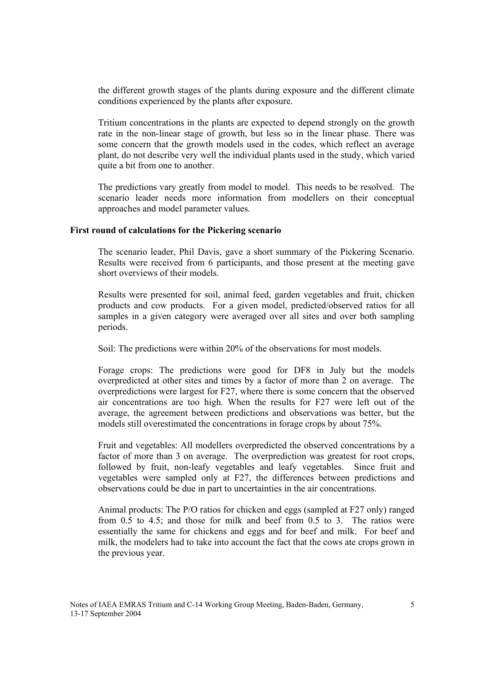the different growth stages of the plants during exposure and the different climate conditions experienced by the plants after exposure.

Tritium concentrations in the plants are expected to depend strongly on the growth rate in the non-linear stage of growth, but less so in the linear phase. There was some concern that the growth models used in the codes, which reflect an average plant, do not describe very well the individual plants used in the study, which varied quite a bit from one to another.

The predictions vary greatly from model to model. This needs to be resolved. The scenario leader needs more information from modellers on their conceptual approaches and model parameter values.

#### **First round of calculations for the Pickering scenario**

The scenario leader, Phil Davis, gave a short summary of the Pickering Scenario. Results were received from 6 participants, and those present at the meeting gave short overviews of their models.

Results were presented for soil, animal feed, garden vegetables and fruit, chicken products and cow products. For a given model, predicted/observed ratios for all samples in a given category were averaged over all sites and over both sampling periods.

Soil: The predictions were within 20% of the observations for most models.

Forage crops: The predictions were good for DF8 in July but the models overpredicted at other sites and times by a factor of more than 2 on average. The overpredictions were largest for F27, where there is some concern that the observed air concentrations are too high. When the results for F27 were left out of the average, the agreement between predictions and observations was better, but the models still overestimated the concentrations in forage crops by about 75%.

Fruit and vegetables: All modellers overpredicted the observed concentrations by a factor of more than 3 on average. The overprediction was greatest for root crops, followed by fruit, non-leafy vegetables and leafy vegetables. Since fruit and vegetables were sampled only at F27, the differences between predictions and observations could be due in part to uncertainties in the air concentrations.

Animal products: The P/O ratios for chicken and eggs (sampled at F27 only) ranged from 0.5 to 4.5; and those for milk and beef from 0.5 to 3. The ratios were essentially the same for chickens and eggs and for beef and milk. For beef and milk, the modelers had to take into account the fact that the cows ate crops grown in the previous year.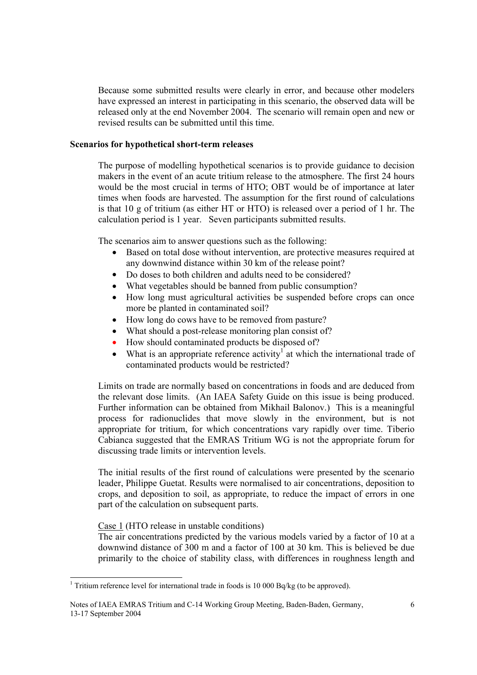Because some submitted results were clearly in error, and because other modelers have expressed an interest in participating in this scenario, the observed data will be released only at the end November 2004. The scenario will remain open and new or revised results can be submitted until this time.

## **Scenarios for hypothetical short-term releases**

The purpose of modelling hypothetical scenarios is to provide guidance to decision makers in the event of an acute tritium release to the atmosphere. The first 24 hours would be the most crucial in terms of HTO; OBT would be of importance at later times when foods are harvested. The assumption for the first round of calculations is that 10 g of tritium (as either HT or HTO) is released over a period of 1 hr. The calculation period is 1 year. Seven participants submitted results.

The scenarios aim to answer questions such as the following:

- Based on total dose without intervention, are protective measures required at any downwind distance within 30 km of the release point?
- Do doses to both children and adults need to be considered?
- What vegetables should be banned from public consumption?
- How long must agricultural activities be suspended before crops can once more be planted in contaminated soil?
- How long do cows have to be removed from pasture?
- What should a post-release monitoring plan consist of?
- How should contaminated products be disposed of?
- What is an appropriate reference activity<sup>1</sup> at which the international trade of contaminated products would be restricted?

Limits on trade are normally based on concentrations in foods and are deduced from the relevant dose limits. (An IAEA Safety Guide on this issue is being produced. Further information can be obtained from Mikhail Balonov.) This is a meaningful process for radionuclides that move slowly in the environment, but is not appropriate for tritium, for which concentrations vary rapidly over time. Tiberio Cabianca suggested that the EMRAS Tritium WG is not the appropriate forum for discussing trade limits or intervention levels.

The initial results of the first round of calculations were presented by the scenario leader, Philippe Guetat. Results were normalised to air concentrations, deposition to crops, and deposition to soil, as appropriate, to reduce the impact of errors in one part of the calculation on subsequent parts.

Case 1 (HTO release in unstable conditions)

 $\overline{a}$ 

The air concentrations predicted by the various models varied by a factor of 10 at a downwind distance of 300 m and a factor of 100 at 30 km. This is believed be due primarily to the choice of stability class, with differences in roughness length and

<sup>&</sup>lt;sup>1</sup> Tritium reference level for international trade in foods is 10 000 Bq/kg (to be approved).

Notes of IAEA EMRAS Tritium and C-14 Working Group Meeting, Baden-Baden, Germany, 13-17 September 2004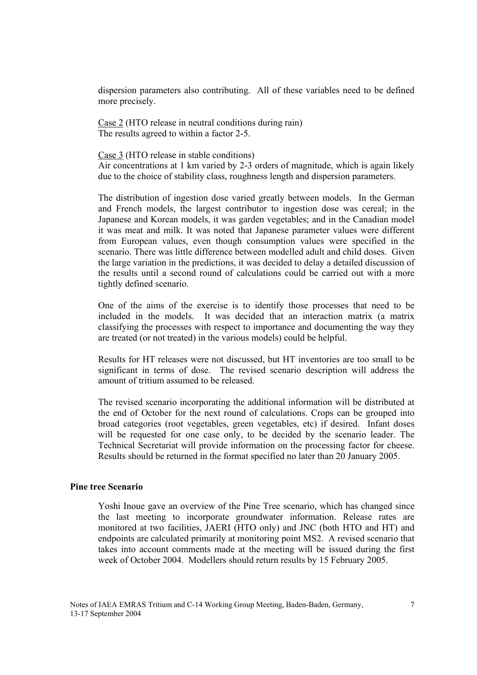dispersion parameters also contributing. All of these variables need to be defined more precisely.

Case 2 (HTO release in neutral conditions during rain) The results agreed to within a factor 2-5.

Case 3 (HTO release in stable conditions)

Air concentrations at 1 km varied by 2-3 orders of magnitude, which is again likely due to the choice of stability class, roughness length and dispersion parameters.

The distribution of ingestion dose varied greatly between models. In the German and French models, the largest contributor to ingestion dose was cereal; in the Japanese and Korean models, it was garden vegetables; and in the Canadian model it was meat and milk. It was noted that Japanese parameter values were different from European values, even though consumption values were specified in the scenario. There was little difference between modelled adult and child doses. Given the large variation in the predictions, it was decided to delay a detailed discussion of the results until a second round of calculations could be carried out with a more tightly defined scenario.

One of the aims of the exercise is to identify those processes that need to be included in the models. It was decided that an interaction matrix (a matrix classifying the processes with respect to importance and documenting the way they are treated (or not treated) in the various models) could be helpful.

Results for HT releases were not discussed, but HT inventories are too small to be significant in terms of dose. The revised scenario description will address the amount of tritium assumed to be released.

The revised scenario incorporating the additional information will be distributed at the end of October for the next round of calculations. Crops can be grouped into broad categories (root vegetables, green vegetables, etc) if desired. Infant doses will be requested for one case only, to be decided by the scenario leader. The Technical Secretariat will provide information on the processing factor for cheese. Results should be returned in the format specified no later than 20 January 2005.

## **Pine tree Scenario**

Yoshi Inoue gave an overview of the Pine Tree scenario, which has changed since the last meeting to incorporate groundwater information. Release rates are monitored at two facilities, JAERI (HTO only) and JNC (both HTO and HT) and endpoints are calculated primarily at monitoring point MS2. A revised scenario that takes into account comments made at the meeting will be issued during the first week of October 2004. Modellers should return results by 15 February 2005.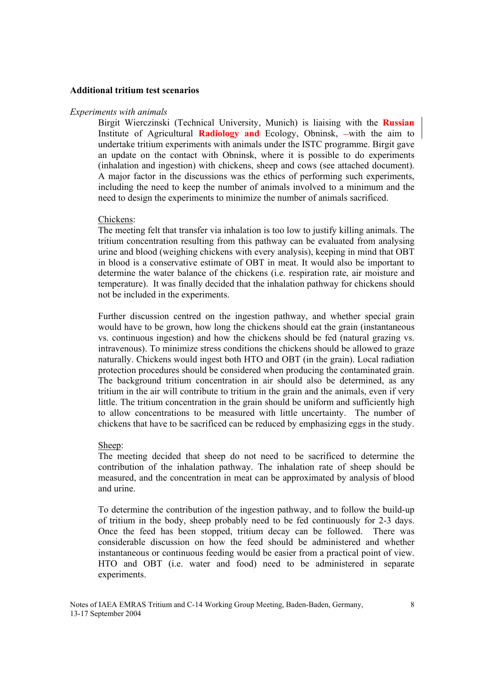#### **Additional tritium test scenarios**

#### *Experiments with animals*

Birgit Wierczinski (Technical University, Munich) is liaising with the **Russian**  Institute of Agricultural **Radiology and** Ecology, Obninsk, –with the aim to undertake tritium experiments with animals under the ISTC programme. Birgit gave an update on the contact with Obninsk, where it is possible to do experiments (inhalation and ingestion) with chickens, sheep and cows (see attached document). A major factor in the discussions was the ethics of performing such experiments, including the need to keep the number of animals involved to a minimum and the need to design the experiments to minimize the number of animals sacrificed.

#### Chickens:

The meeting felt that transfer via inhalation is too low to justify killing animals. The tritium concentration resulting from this pathway can be evaluated from analysing urine and blood (weighing chickens with every analysis), keeping in mind that OBT in blood is a conservative estimate of OBT in meat. It would also be important to determine the water balance of the chickens (i.e. respiration rate, air moisture and temperature). It was finally decided that the inhalation pathway for chickens should not be included in the experiments.

Further discussion centred on the ingestion pathway, and whether special grain would have to be grown, how long the chickens should eat the grain (instantaneous vs. continuous ingestion) and how the chickens should be fed (natural grazing vs. intravenous). To minimize stress conditions the chickens should be allowed to graze naturally. Chickens would ingest both HTO and OBT (in the grain). Local radiation protection procedures should be considered when producing the contaminated grain. The background tritium concentration in air should also be determined, as any tritium in the air will contribute to tritium in the grain and the animals, even if very little. The tritium concentration in the grain should be uniform and sufficiently high to allow concentrations to be measured with little uncertainty. The number of chickens that have to be sacrificed can be reduced by emphasizing eggs in the study.

#### Sheep:

The meeting decided that sheep do not need to be sacrificed to determine the contribution of the inhalation pathway. The inhalation rate of sheep should be measured, and the concentration in meat can be approximated by analysis of blood and urine.

To determine the contribution of the ingestion pathway, and to follow the build-up of tritium in the body, sheep probably need to be fed continuously for 2-3 days. Once the feed has been stopped, tritium decay can be followed. There was considerable discussion on how the feed should be administered and whether instantaneous or continuous feeding would be easier from a practical point of view. HTO and OBT (i.e. water and food) need to be administered in separate experiments.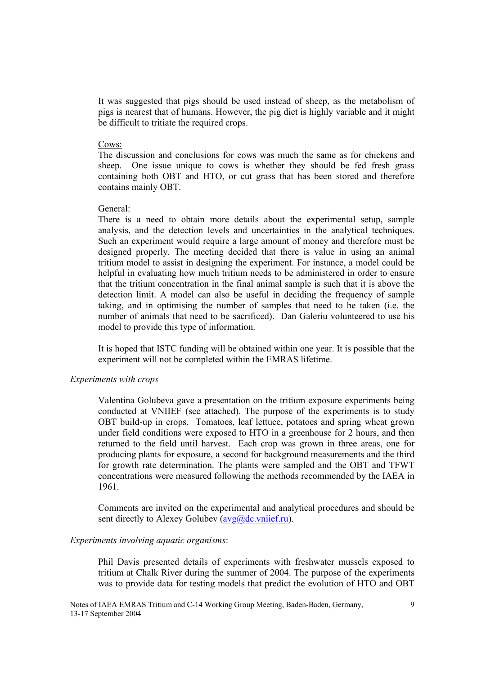It was suggested that pigs should be used instead of sheep, as the metabolism of pigs is nearest that of humans. However, the pig diet is highly variable and it might be difficult to tritiate the required crops.

#### Cows:

The discussion and conclusions for cows was much the same as for chickens and sheep. One issue unique to cows is whether they should be fed fresh grass containing both OBT and HTO, or cut grass that has been stored and therefore contains mainly OBT.

#### General:

There is a need to obtain more details about the experimental setup, sample analysis, and the detection levels and uncertainties in the analytical techniques. Such an experiment would require a large amount of money and therefore must be designed properly. The meeting decided that there is value in using an animal tritium model to assist in designing the experiment. For instance, a model could be helpful in evaluating how much tritium needs to be administered in order to ensure that the tritium concentration in the final animal sample is such that it is above the detection limit. A model can also be useful in deciding the frequency of sample taking, and in optimising the number of samples that need to be taken (i.e. the number of animals that need to be sacrificed). Dan Galeriu volunteered to use his model to provide this type of information.

It is hoped that ISTC funding will be obtained within one year. It is possible that the experiment will not be completed within the EMRAS lifetime.

#### *Experiments with crops*

Valentina Golubeva gave a presentation on the tritium exposure experiments being conducted at VNIIEF (see attached). The purpose of the experiments is to study OBT build-up in crops. Tomatoes, leaf lettuce, potatoes and spring wheat grown under field conditions were exposed to HTO in a greenhouse for 2 hours, and then returned to the field until harvest. Each crop was grown in three areas, one for producing plants for exposure, a second for background measurements and the third for growth rate determination. The plants were sampled and the OBT and TFWT concentrations were measured following the methods recommended by the IAEA in 1961.

Comments are invited on the experimental and analytical procedures and should be sent directly to Alexey Golubev  $(\frac{\text{avg}(a)}{\text{dc}})$ . vniief.ru).

#### *Experiments involving aquatic organisms*:

Phil Davis presented details of experiments with freshwater mussels exposed to tritium at Chalk River during the summer of 2004. The purpose of the experiments was to provide data for testing models that predict the evolution of HTO and OBT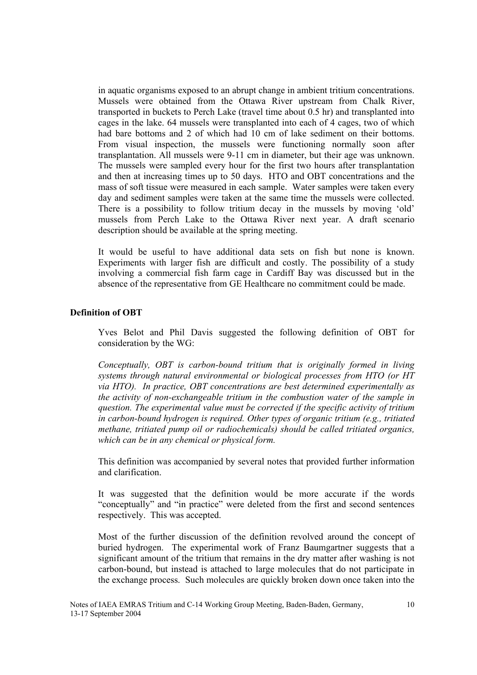in aquatic organisms exposed to an abrupt change in ambient tritium concentrations. Mussels were obtained from the Ottawa River upstream from Chalk River, transported in buckets to Perch Lake (travel time about 0.5 hr) and transplanted into cages in the lake. 64 mussels were transplanted into each of 4 cages, two of which had bare bottoms and 2 of which had 10 cm of lake sediment on their bottoms. From visual inspection, the mussels were functioning normally soon after transplantation. All mussels were 9-11 cm in diameter, but their age was unknown. The mussels were sampled every hour for the first two hours after transplantation and then at increasing times up to 50 days. HTO and OBT concentrations and the mass of soft tissue were measured in each sample. Water samples were taken every day and sediment samples were taken at the same time the mussels were collected. There is a possibility to follow tritium decay in the mussels by moving 'old' mussels from Perch Lake to the Ottawa River next year. A draft scenario description should be available at the spring meeting.

It would be useful to have additional data sets on fish but none is known. Experiments with larger fish are difficult and costly. The possibility of a study involving a commercial fish farm cage in Cardiff Bay was discussed but in the absence of the representative from GE Healthcare no commitment could be made.

## **Definition of OBT**

Yves Belot and Phil Davis suggested the following definition of OBT for consideration by the WG:

*Conceptually, OBT is carbon-bound tritium that is originally formed in living systems through natural environmental or biological processes from HTO (or HT via HTO). In practice, OBT concentrations are best determined experimentally as the activity of non-exchangeable tritium in the combustion water of the sample in question. The experimental value must be corrected if the specific activity of tritium in carbon-bound hydrogen is required. Other types of organic tritium (e.g., tritiated methane, tritiated pump oil or radiochemicals) should be called tritiated organics, which can be in any chemical or physical form.* 

This definition was accompanied by several notes that provided further information and clarification.

It was suggested that the definition would be more accurate if the words "conceptually" and "in practice" were deleted from the first and second sentences respectively. This was accepted.

Most of the further discussion of the definition revolved around the concept of buried hydrogen. The experimental work of Franz Baumgartner suggests that a significant amount of the tritium that remains in the dry matter after washing is not carbon-bound, but instead is attached to large molecules that do not participate in the exchange process. Such molecules are quickly broken down once taken into the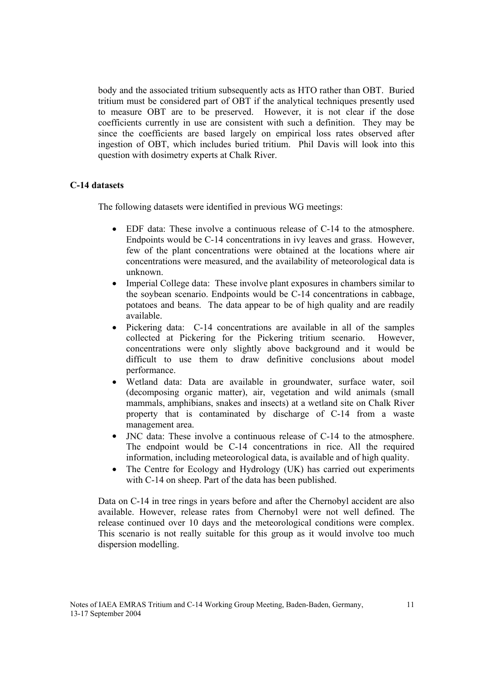body and the associated tritium subsequently acts as HTO rather than OBT. Buried tritium must be considered part of OBT if the analytical techniques presently used to measure OBT are to be preserved. However, it is not clear if the dose coefficients currently in use are consistent with such a definition. They may be since the coefficients are based largely on empirical loss rates observed after ingestion of OBT, which includes buried tritium. Phil Davis will look into this question with dosimetry experts at Chalk River.

## **C-14 datasets**

The following datasets were identified in previous WG meetings:

- EDF data: These involve a continuous release of C-14 to the atmosphere. Endpoints would be C-14 concentrations in ivy leaves and grass. However, few of the plant concentrations were obtained at the locations where air concentrations were measured, and the availability of meteorological data is unknown.
- Imperial College data: These involve plant exposures in chambers similar to the soybean scenario. Endpoints would be C-14 concentrations in cabbage, potatoes and beans. The data appear to be of high quality and are readily available.
- Pickering data: C-14 concentrations are available in all of the samples collected at Pickering for the Pickering tritium scenario. However, concentrations were only slightly above background and it would be difficult to use them to draw definitive conclusions about model performance.
- Wetland data: Data are available in groundwater, surface water, soil (decomposing organic matter), air, vegetation and wild animals (small mammals, amphibians, snakes and insects) at a wetland site on Chalk River property that is contaminated by discharge of C-14 from a waste management area.
- JNC data: These involve a continuous release of C-14 to the atmosphere. The endpoint would be C-14 concentrations in rice. All the required information, including meteorological data, is available and of high quality.
- The Centre for Ecology and Hydrology (UK) has carried out experiments with C-14 on sheep. Part of the data has been published.

Data on C-14 in tree rings in years before and after the Chernobyl accident are also available. However, release rates from Chernobyl were not well defined. The release continued over 10 days and the meteorological conditions were complex. This scenario is not really suitable for this group as it would involve too much dispersion modelling.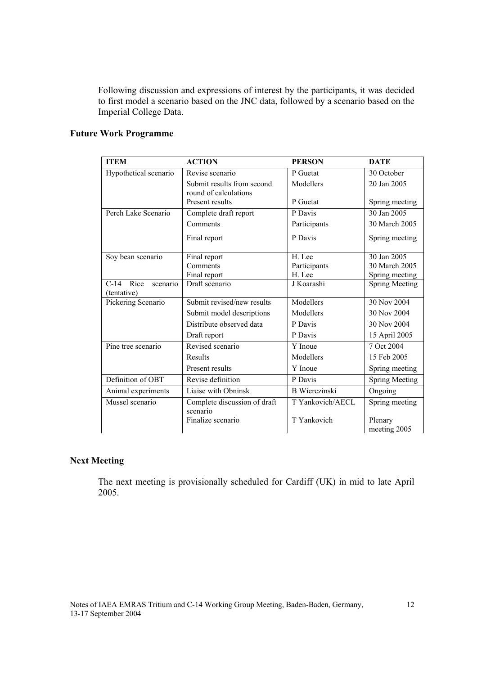Following discussion and expressions of interest by the participants, it was decided to first model a scenario based on the JNC data, followed by a scenario based on the Imperial College Data.

| <b>ITEM</b>           | <b>ACTION</b>                 | <b>PERSON</b>        | <b>DATE</b>             |
|-----------------------|-------------------------------|----------------------|-------------------------|
| Hypothetical scenario | Revise scenario               | P Guetat             | 30 October              |
|                       | Submit results from second    | Modellers            | 20 Jan 2005             |
|                       | round of calculations         | P Guetat             |                         |
|                       | Present results               |                      | Spring meeting          |
| Perch Lake Scenario   | Complete draft report         | P Davis              | 30 Jan 2005             |
|                       | Comments                      | Participants         | 30 March 2005           |
|                       | Final report                  | P Davis              | Spring meeting          |
| Soy bean scenario     | Final report                  | H. Lee               | 30 Jan 2005             |
|                       | Comments                      | Participants         | 30 March 2005           |
|                       | Final report                  | H. Lee               | Spring meeting          |
| C-14 Rice<br>scenario | Draft scenario                | J Koarashi           | <b>Spring Meeting</b>   |
| (tentative)           |                               |                      |                         |
| Pickering Scenario    | Submit revised/new results    | Modellers            | 30 Nov 2004             |
|                       | Submit model descriptions     | Modellers            | 30 Nov 2004             |
|                       | Distribute observed data      | P Davis              | 30 Nov 2004             |
|                       | Draft report                  | P Davis              | 15 April 2005           |
| Pine tree scenario    | Revised scenario              | Y Inoue              | 7 Oct 2004              |
|                       | Results                       | Modellers            | 15 Feb 2005             |
|                       | Present results               | Y Inoue              | Spring meeting          |
| Definition of OBT     | Revise definition             | P Davis              | <b>Spring Meeting</b>   |
| Animal experiments    | Liaise with Obninsk           | <b>B</b> Wierczinski | Ongoing                 |
| Mussel scenario       | Complete discussion of draft  | T Yankovich/AECL     | Spring meeting          |
|                       | scenario<br>Finalize scenario | T Yankovich          | Plenary<br>meeting 2005 |

## **Future Work Programme**

## **Next Meeting**

The next meeting is provisionally scheduled for Cardiff (UK) in mid to late April 2005.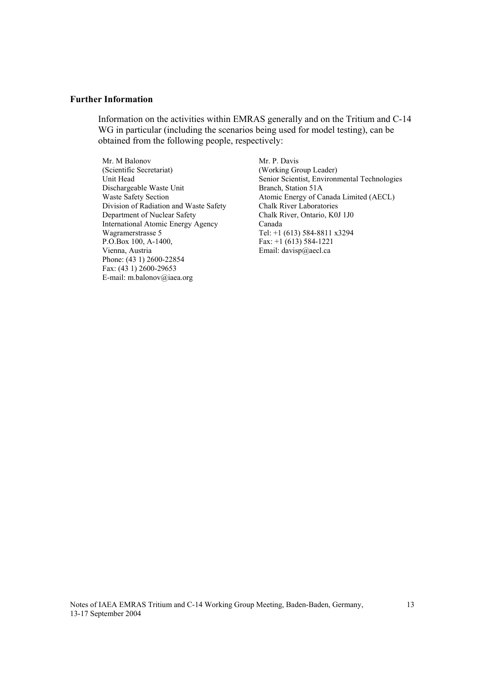#### **Further Information**

Information on the activities within EMRAS generally and on the Tritium and C-14 WG in particular (including the scenarios being used for model testing), can be obtained from the following people, respectively:

Mr. M Balonov (Scientific Secretariat) Unit Head Dischargeable Waste Unit Waste Safety Section Division of Radiation and Waste Safety Department of Nuclear Safety International Atomic Energy Agency Wagramerstrasse 5 P.O.Box 100, A-1400, Vienna, Austria Phone: (43 1) 2600-22854 Fax: (43 1) 2600-29653 E-mail: m.balonov@iaea.org

Mr. P. Davis (Working Group Leader) Senior Scientist, Environmental Technologies Branch, Station 51A Atomic Energy of Canada Limited (AECL) Chalk River Laboratories Chalk River, Ontario, K0J 1J0 Canada Tel: +1 (613) 584-8811 x3294 Fax: +1 (613) 584-1221 Email: davisp@aecl.ca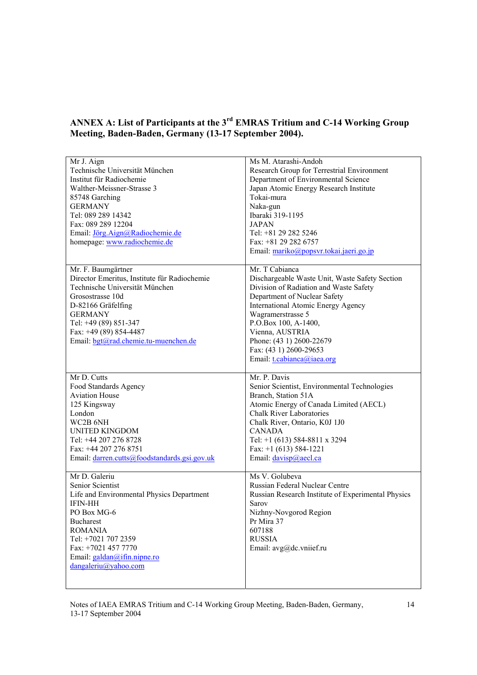## **ANNEX A: List of Participants at the 3rd EMRAS Tritium and C-14 Working Group Meeting, Baden-Baden, Germany (13-17 September 2004).**

| Mr J. Aign                                   | Ms M. Atarashi-Andoh                               |
|----------------------------------------------|----------------------------------------------------|
| Technische Universität München               | Research Group for Terrestrial Environment         |
| Institut für Radiochemie                     | Department of Environmental Science                |
| Walther-Meissner-Strasse 3                   | Japan Atomic Energy Research Institute             |
| 85748 Garching                               | Tokai-mura                                         |
| <b>GERMANY</b>                               | Naka-gun                                           |
| Tel: 089 289 14342                           | Ibaraki 319-1195                                   |
| Fax: 089 289 12204                           | <b>JAPAN</b>                                       |
| Email: Jörg.Aign@Radiochemie.de              | Tel: +81 29 282 5246                               |
|                                              |                                                    |
| homepage: www.radiochemie.de                 | Fax: +81 29 282 6757                               |
|                                              | Email: mariko@popsvr.tokai.jaeri.go.jp             |
| Mr. F. Baumgärtner                           | Mr. T Cabianca                                     |
| Director Emeritus, Institute für Radiochemie | Dischargeable Waste Unit, Waste Safety Section     |
| Technische Universität München               | Division of Radiation and Waste Safety             |
| Grosostrasse 10d                             | Department of Nuclear Safety                       |
| D-82166 Gräfelfing                           | <b>International Atomic Energy Agency</b>          |
| <b>GERMANY</b>                               | Wagramerstrasse 5                                  |
| Tel: +49 (89) 851-347                        | P.O.Box 100, A-1400,                               |
| Fax: +49 (89) 854-4487                       | Vienna, AUSTRIA                                    |
| Email: bgt@rad.chemie.tu-muenchen.de         | Phone: (43 1) 2600-22679                           |
|                                              | Fax: (43 1) 2600-29653                             |
|                                              | Email: t.cabianca@iaea.org                         |
|                                              |                                                    |
| Mr D. Cutts                                  | Mr. P. Davis                                       |
| Food Standards Agency                        | Senior Scientist, Environmental Technologies       |
| <b>Aviation House</b>                        | Branch, Station 51A                                |
| 125 Kingsway                                 | Atomic Energy of Canada Limited (AECL)             |
| London                                       | <b>Chalk River Laboratories</b>                    |
| WC2B 6NH                                     | Chalk River, Ontario, K0J 1J0                      |
| <b>UNITED KINGDOM</b>                        | <b>CANADA</b>                                      |
| Tel: +44 207 276 8728                        | Tel: +1 (613) 584-8811 x 3294                      |
| Fax: +44 207 276 8751                        | Fax: $+1$ (613) 584-1221                           |
| Email: darren.cutts@foodstandards.gsi.gov.uk | Email: davisp@aecl.ca                              |
|                                              |                                                    |
| Mr D. Galeriu                                | Ms V. Golubeva                                     |
| Senior Scientist                             | Russian Federal Nuclear Centre                     |
| Life and Environmental Physics Department    | Russian Research Institute of Experimental Physics |
| <b>IFIN-HH</b>                               | Sarov                                              |
| PO Box MG-6                                  | Nizhny-Novgorod Region                             |
| <b>Bucharest</b>                             | Pr Mira 37                                         |
| <b>ROMANIA</b>                               | 607188                                             |
| Tel: +7021 707 2359                          | <b>RUSSIA</b>                                      |
| Fax: +7021 457 7770                          | Email: avg@dc.vniief.ru                            |
| Email: galdan@ifin.nipne.ro                  |                                                    |
| $d$ angaleriu@yahoo.com                      |                                                    |
|                                              |                                                    |
|                                              |                                                    |

Notes of IAEA EMRAS Tritium and C-14 Working Group Meeting, Baden-Baden, Germany, 13-17 September 2004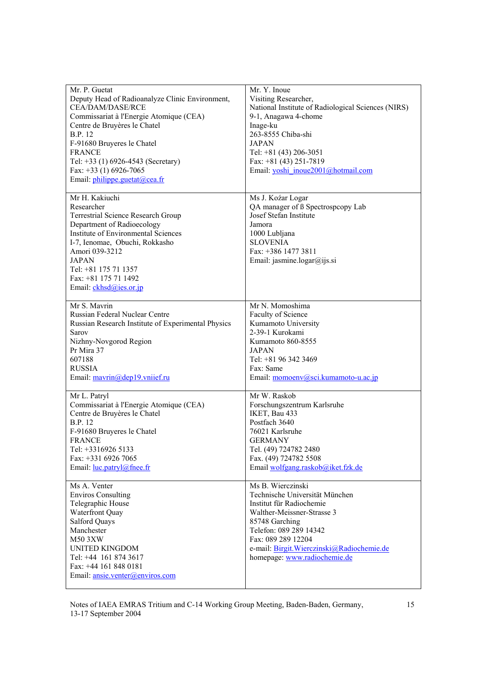| Mr. P. Guetat<br>Deputy Head of Radioanalyze Clinic Environment,<br>CEA/DAM/DASE/RCE<br>Commissariat à l'Energie Atomique (CEA)<br>Centre de Bruyères le Chatel<br><b>B.P.</b> 12<br>F-91680 Bruyeres le Chatel<br><b>FRANCE</b><br>Tel: +33 (1) 6926-4543 (Secretary)<br>Fax: $+33$ (1) 6926-7065<br>Email: <i>philippe.guetat@cea.fr</i> | Mr. Y. Inoue<br>Visiting Researcher,<br>National Institute of Radiological Sciences (NIRS)<br>9-1, Anagawa 4-chome<br>Inage-ku<br>263-8555 Chiba-shi<br><b>JAPAN</b><br>Tel: $+81$ (43) 206-3051<br>Fax: $+81$ (43) 251-7819<br>Email: yoshi_inoue2001@hotmail.com |
|--------------------------------------------------------------------------------------------------------------------------------------------------------------------------------------------------------------------------------------------------------------------------------------------------------------------------------------------|--------------------------------------------------------------------------------------------------------------------------------------------------------------------------------------------------------------------------------------------------------------------|
| Mr H. Kakiuchi<br>Researcher<br>Terrestrial Science Research Group<br>Department of Radioecology<br><b>Institute of Environmental Sciences</b><br>I-7, Ienomae, Obuchi, Rokkasho<br>Amori 039-3212<br><b>JAPAN</b><br>Tel: +81 175 71 1357<br>Fax: +81 175 71 1492<br>Email: ckhsd@ies.or.jp                                               | Ms J. Koźar Logar<br>QA manager of B Spectrospcopy Lab<br>Josef Stefan Institute<br>Jamora<br>1000 Lubljana<br><b>SLOVENIA</b><br>Fax: +386 1477 3811<br>Email: jasmine.logar@ijs.si                                                                               |
| Mr S. Mavrin<br>Russian Federal Nuclear Centre<br>Russian Research Institute of Experimental Physics<br>Sarov<br>Nizhny-Novgorod Region<br>Pr Mira 37<br>607188<br><b>RUSSIA</b><br>Email: mavrin@dep19.vniief.ru                                                                                                                          | Mr N. Momoshima<br>Faculty of Science<br>Kumamoto University<br>2-39-1 Kurokami<br>Kumamoto 860-8555<br><b>JAPAN</b><br>Tel: +81 96 342 3469<br>Fax: Same<br>Email: momoenv@sci.kumamoto-u.ac.jp                                                                   |
| Mr L. Patryl<br>Commissariat à l'Energie Atomique (CEA)<br>Centre de Bruyères le Chatel<br><b>B.P.</b> 12<br>F-91680 Bruyeres le Chatel<br><b>FRANCE</b><br>Tel: +3316926 5133<br>Fax: +331 6926 7065<br>Email: <u>luc.patryl@fnee.fr</u>                                                                                                  | Mr W. Raskob<br>Forschungszentrum Karlsruhe<br>IKET, Bau 433<br>Postfach 3640<br>76021 Karlsruhe<br><b>GERMANY</b><br>Tel. (49) 724782 2480<br>Fax. (49) 724782 5508<br>Email wolfgang.raskob@iket.fzk.de                                                          |
| Ms A. Venter<br><b>Enviros Consulting</b><br>Telegraphic House<br>Waterfront Quay<br>Salford Quays<br>Manchester<br>M50 3XW<br><b>UNITED KINGDOM</b><br>Tel: +44 161 874 3617<br>Fax: +44 161 848 0181<br>Email: ansie.venter@enviros.com                                                                                                  | Ms B. Wierczinski<br>Technische Universität München<br>Institut für Radiochemie<br>Walther-Meissner-Strasse 3<br>85748 Garching<br>Telefon: 089 289 14342<br>Fax: 089 289 12204<br>e-mail: Birgit.Wierczinski@Radiochemie.de<br>homepage: www.radiochemie.de       |

Notes of IAEA EMRAS Tritium and C-14 Working Group Meeting, Baden-Baden, Germany, 13-17 September 2004